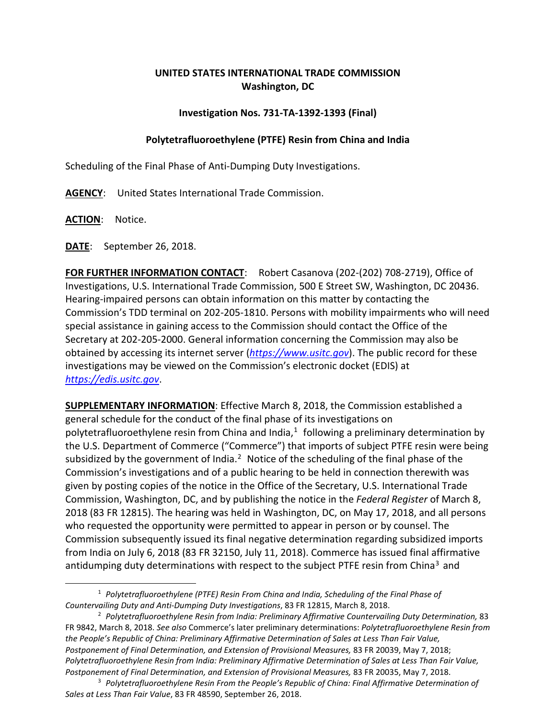## **UNITED STATES INTERNATIONAL TRADE COMMISSION Washington, DC**

## **Investigation Nos. 731-TA-1392-1393 (Final)**

## **Polytetrafluoroethylene (PTFE) Resin from China and India**

Scheduling of the Final Phase of Anti-Dumping Duty Investigations.

**AGENCY**: United States International Trade Commission.

**ACTION**: Notice.

 $\overline{a}$ 

**DATE**: September 26, 2018.

**FOR FURTHER INFORMATION CONTACT**: Robert Casanova (202-(202) 708-2719), Office of Investigations, U.S. International Trade Commission, 500 E Street SW, Washington, DC 20436. Hearing-impaired persons can obtain information on this matter by contacting the Commission's TDD terminal on 202-205-1810. Persons with mobility impairments who will need special assistance in gaining access to the Commission should contact the Office of the Secretary at 202-205-2000. General information concerning the Commission may also be obtained by accessing its internet server (*[https://www.usitc.gov](https://www.usitc.gov/)*). The public record for these investigations may be viewed on the Commission's electronic docket (EDIS) at *[https://edis.usitc.gov](https://edis.usitc.gov/)*.

**SUPPLEMENTARY INFORMATION**: Effective March 8, 2018, the Commission established a general schedule for the conduct of the final phase of its investigations on polytetrafluoroethylene resin from China and India, $<sup>1</sup>$  $<sup>1</sup>$  $<sup>1</sup>$  following a preliminary determination by</sup> the U.S. Department of Commerce ("Commerce") that imports of subject PTFE resin were being subsidized by the government of India.<sup>[2](#page-0-1)</sup> Notice of the scheduling of the final phase of the Commission's investigations and of a public hearing to be held in connection therewith was given by posting copies of the notice in the Office of the Secretary, U.S. International Trade Commission, Washington, DC, and by publishing the notice in the *Federal Register* of March 8, 2018 (83 FR 12815). The hearing was held in Washington, DC, on May 17, 2018, and all persons who requested the opportunity were permitted to appear in person or by counsel. The Commission subsequently issued its final negative determination regarding subsidized imports from India on July 6, 2018 (83 FR 32150, July 11, 2018). Commerce has issued final affirmative antidumping duty determinations with respect to the subject PTFE resin from China<sup>[3](#page-1-0)</sup> and

<sup>1</sup> *Polytetrafluoroethylene (PTFE) Resin From China and India, Scheduling of the Final Phase of Countervailing Duty and Anti-Dumping Duty Investigations*, 83 FR 12815, March 8, 2018.

<span id="page-0-1"></span><span id="page-0-0"></span><sup>2</sup> *Polytetrafluoroethylene Resin from India: Preliminary Affirmative Countervailing Duty Determination,* 83 FR 9842, March 8, 2018. *See also* Commerce's later preliminary determinations: *Polytetrafluoroethylene Resin from the People's Republic of China: Preliminary Affirmative Determination of Sales at Less Than Fair Value, Postponement of Final Determination, and Extension of Provisional Measures,* 83 FR 20039, May 7, 2018; *Polytetrafluoroethylene Resin from India: Preliminary Affirmative Determination of Sales at Less Than Fair Value, Postponement of Final Determination, and Extension of Provisional Measures,* 83 FR 20035, May 7, 2018.

<sup>3</sup> *Polytetrafluoroethylene Resin From the People's Republic of China: Final Affirmative Determination of Sales at Less Than Fair Value*, 83 FR 48590, September 26, 2018.